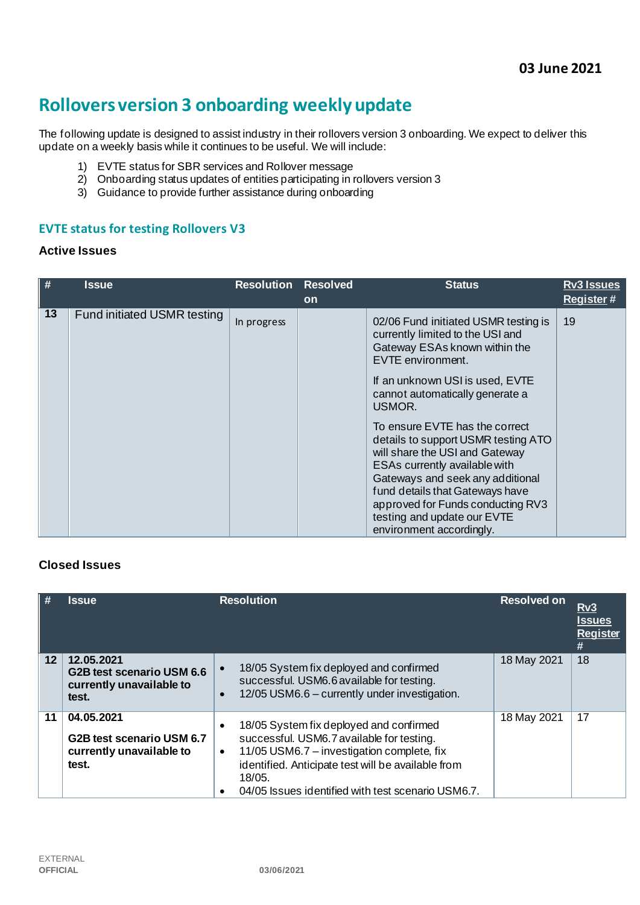# **Rollovers version 3 onboarding weekly update**

The following update is designed to assist industry in their rollovers version 3 onboarding. We expect to deliver this update on a weekly basis while it continues to be useful. We will include:

- 1) EVTE status for SBR services and Rollover message
- 2) Onboarding status updates of entities participating in rollovers version 3
- 3) Guidance to provide further assistance during onboarding

#### **EVTE status for testing Rollovers V3**

#### **Active Issues**

| #  | Issue                       | <b>Resolution</b> | <b>Resolved</b><br><b>on</b> | <b>Status</b>                                                                                                                                                                                                                                                                                                                                                                                                                                                                                                                     | <b>Rv3 Issues</b><br><b>Register#</b> |
|----|-----------------------------|-------------------|------------------------------|-----------------------------------------------------------------------------------------------------------------------------------------------------------------------------------------------------------------------------------------------------------------------------------------------------------------------------------------------------------------------------------------------------------------------------------------------------------------------------------------------------------------------------------|---------------------------------------|
| 13 | Fund initiated USMR testing | In progress       |                              | 02/06 Fund initiated USMR testing is<br>currently limited to the USI and<br>Gateway ESAs known within the<br>EVTE environment.<br>If an unknown USI is used, EVTE<br>cannot automatically generate a<br>USMOR.<br>To ensure EVTE has the correct<br>details to support USMR testing ATO<br>will share the USI and Gateway<br>ESAs currently available with<br>Gateways and seek any additional<br>fund details that Gateways have<br>approved for Funds conducting RV3<br>testing and update our EVTE<br>environment accordingly. | 19                                    |

#### **Closed Issues**

| #               | <b>Issue</b>                                                                 | <b>Resolution</b>                                                                                                                                                                                                                                                                               | <b>Resolved on</b> | Rv3<br><u>Issues</u><br><b>Register</b><br># |
|-----------------|------------------------------------------------------------------------------|-------------------------------------------------------------------------------------------------------------------------------------------------------------------------------------------------------------------------------------------------------------------------------------------------|--------------------|----------------------------------------------|
| 12 <sup>1</sup> | 12.05.2021<br>G2B test scenario USM 6.6<br>currently unavailable to<br>test. | 18/05 System fix deployed and confirmed<br>$\bullet$<br>successful. USM6.6 available for testing.<br>12/05 USM6.6 - currently under investigation.<br>$\bullet$                                                                                                                                 | 18 May 2021        | 18                                           |
| 11              | 04.05.2021<br>G2B test scenario USM 6.7<br>currently unavailable to<br>test. | 18/05 System fix deployed and confirmed<br>$\bullet$<br>successful. USM6.7 available for testing.<br>11/05 USM6.7 - investigation complete, fix<br>$\bullet$<br>identified. Anticipate test will be available from<br>18/05.<br>04/05 Issues identified with test scenario USM6.7.<br>$\bullet$ | 18 May 2021        | 17                                           |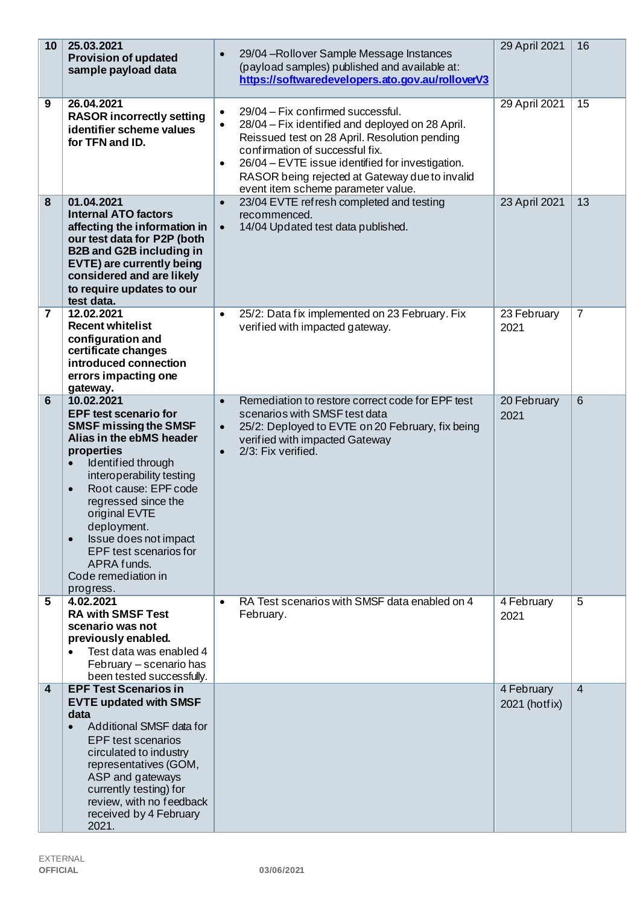| 10             | 25.03.2021<br><b>Provision of updated</b><br>sample payload data                                                                                                                                                                                                                                                                                                                      | 29/04 - Rollover Sample Message Instances<br>$\bullet$<br>(payload samples) published and available at:<br>https://softwaredevelopers.ato.gov.au/rolloverV3                                                                                                                                                                                                  | 29 April 2021               | 16             |
|----------------|---------------------------------------------------------------------------------------------------------------------------------------------------------------------------------------------------------------------------------------------------------------------------------------------------------------------------------------------------------------------------------------|--------------------------------------------------------------------------------------------------------------------------------------------------------------------------------------------------------------------------------------------------------------------------------------------------------------------------------------------------------------|-----------------------------|----------------|
| 9              | 26.04.2021<br><b>RASOR incorrectly setting</b><br>identifier scheme values<br>for TFN and ID.                                                                                                                                                                                                                                                                                         | 29/04 - Fix confirmed successful.<br>$\bullet$<br>28/04 – Fix identified and deployed on 28 April.<br>$\bullet$<br>Reissued test on 28 April. Resolution pending<br>confirmation of successful fix.<br>26/04 - EVTE issue identified for investigation.<br>$\bullet$<br>RASOR being rejected at Gateway due to invalid<br>event item scheme parameter value. | 29 April 2021               | 15             |
| 8              | 01.04.2021<br><b>Internal ATO factors</b><br>affecting the information in<br>our test data for P2P (both<br><b>B2B and G2B including in</b><br>EVTE) are currently being<br>considered and are likely<br>to require updates to our<br>test data.                                                                                                                                      | 23/04 EVTE refresh completed and testing<br>$\bullet$<br>recommenced.<br>14/04 Updated test data published.<br>$\bullet$                                                                                                                                                                                                                                     | 23 April 2021               | 13             |
| $\overline{7}$ | 12.02.2021<br><b>Recent whitelist</b><br>configuration and<br>certificate changes<br>introduced connection<br>errors impacting one<br>gateway.                                                                                                                                                                                                                                        | 25/2: Data fix implemented on 23 February. Fix<br>$\bullet$<br>verified with impacted gateway.                                                                                                                                                                                                                                                               | 23 February<br>2021         | $\overline{7}$ |
| $6\phantom{1}$ | 10.02.2021<br><b>EPF test scenario for</b><br><b>SMSF missing the SMSF</b><br>Alias in the ebMS header<br>properties<br>Identified through<br>interoperability testing<br>Root cause: EPF code<br>$\bullet$<br>regressed since the<br>original EVTE<br>deployment.<br>Issue does not impact<br>$\bullet$<br>EPF test scenarios for<br>APRA funds.<br>Code remediation in<br>progress. | Remediation to restore correct code for EPF test<br>$\bullet$<br>scenarios with SMSF test data<br>25/2: Deployed to EVTE on 20 February, fix being<br>$\bullet$<br>verified with impacted Gateway<br>2/3: Fix verified.<br>$\bullet$                                                                                                                         | 20 February<br>2021         | $\overline{6}$ |
| 5              | 4.02.2021<br><b>RA with SMSF Test</b><br>scenario was not<br>previously enabled.<br>Test data was enabled 4<br>February - scenario has<br>been tested successfully.                                                                                                                                                                                                                   | RA Test scenarios with SMSF data enabled on 4<br>$\bullet$<br>February.                                                                                                                                                                                                                                                                                      | 4 February<br>2021          | 5              |
| 4              | <b>EPF Test Scenarios in</b><br><b>EVTE updated with SMSF</b><br>data<br>Additional SMSF data for<br>$\bullet$<br><b>EPF</b> test scenarios<br>circulated to industry<br>representatives (GOM,<br>ASP and gateways<br>currently testing) for<br>review, with no feedback<br>received by 4 February<br>2021.                                                                           |                                                                                                                                                                                                                                                                                                                                                              | 4 February<br>2021 (hotfix) | $\overline{4}$ |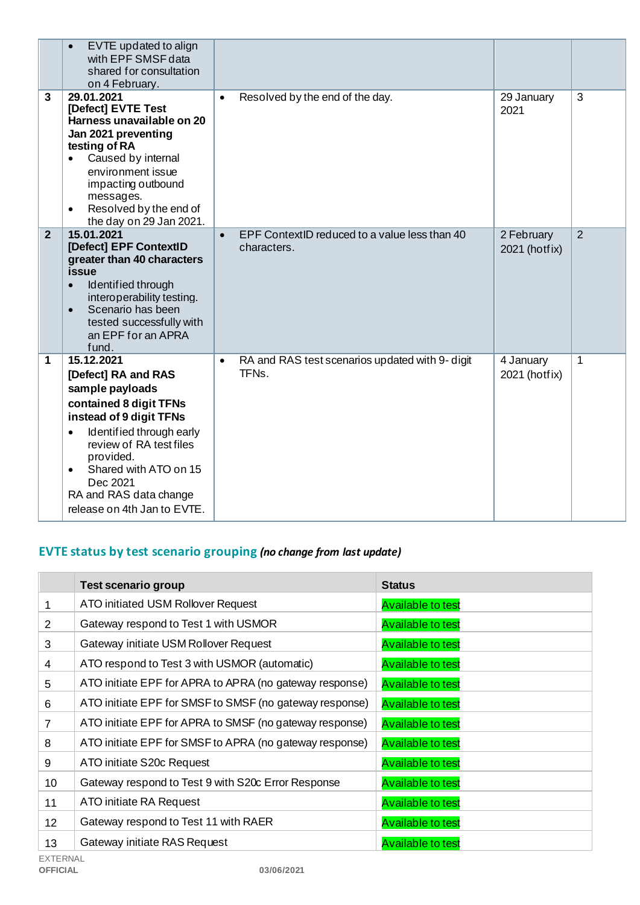|                | EVTE updated to align<br>$\bullet$<br>with EPF SMSF data<br>shared for consultation<br>on 4 February.                                                                                                                                                                                                 |                                                                                    |                             |                |
|----------------|-------------------------------------------------------------------------------------------------------------------------------------------------------------------------------------------------------------------------------------------------------------------------------------------------------|------------------------------------------------------------------------------------|-----------------------------|----------------|
| 3              | 29.01.2021<br>[Defect] EVTE Test<br>Harness unavailable on 20<br>Jan 2021 preventing<br>testing of RA<br>Caused by internal<br>environment issue<br>impacting outbound<br>messages.<br>Resolved by the end of<br>$\bullet$<br>the day on 29 Jan 2021.                                                 | Resolved by the end of the day.<br>$\bullet$                                       | 29 January<br>2021          | 3              |
| $\overline{2}$ | 15.01.2021<br>[Defect] EPF ContextID<br>greater than 40 characters<br>issue<br>Identified through<br>$\bullet$<br>interoperability testing.<br>Scenario has been<br>$\bullet$<br>tested successfully with<br>an EPF for an APRA<br>fund.                                                              | EPF ContextID reduced to a value less than 40<br>$\bullet$<br>characters.          | 2 February<br>2021 (hotfix) | $\overline{2}$ |
| 1              | 15.12.2021<br>[Defect] RA and RAS<br>sample payloads<br>contained 8 digit TFNs<br>instead of 9 digit TFNs<br>Identified through early<br>$\bullet$<br>review of RA test files<br>provided.<br>Shared with ATO on 15<br>$\bullet$<br>Dec 2021<br>RA and RAS data change<br>release on 4th Jan to EVTE. | RA and RAS test scenarios updated with 9- digit<br>$\bullet$<br>TFN <sub>s</sub> . | 4 January<br>2021 (hotfix)  | $\mathbf{1}$   |

# **EVTE status by test scenario grouping** *(no change from last update)*

|                 | <b>Test scenario group</b>                              | <b>Status</b>            |
|-----------------|---------------------------------------------------------|--------------------------|
| 1               | ATO initiated USM Rollover Request                      | <b>Available to test</b> |
| 2               | Gateway respond to Test 1 with USMOR                    | <b>Available to test</b> |
| 3               | Gateway initiate USM Rollover Request                   | <b>Available to test</b> |
| 4               | ATO respond to Test 3 with USMOR (automatic)            | <b>Available to test</b> |
| 5               | ATO initiate EPF for APRA to APRA (no gateway response) | <b>Available to test</b> |
| 6               | ATO initiate EPF for SMSF to SMSF (no gateway response) | <b>Available to test</b> |
| 7               | ATO initiate EPF for APRA to SMSF (no gateway response) | <b>Available to test</b> |
| 8               | ATO initiate EPF for SMSF to APRA (no gateway response) | <b>Available to test</b> |
| 9               | ATO initiate S20c Request                               | <b>Available to test</b> |
| 10              | Gateway respond to Test 9 with S20c Error Response      | <b>Available to test</b> |
| 11              | ATO initiate RA Request                                 | <b>Available to test</b> |
| 12 <sup>2</sup> | Gateway respond to Test 11 with RAER                    | <b>Available to test</b> |
| 13              | Gateway initiate RAS Request                            | <b>Available to test</b> |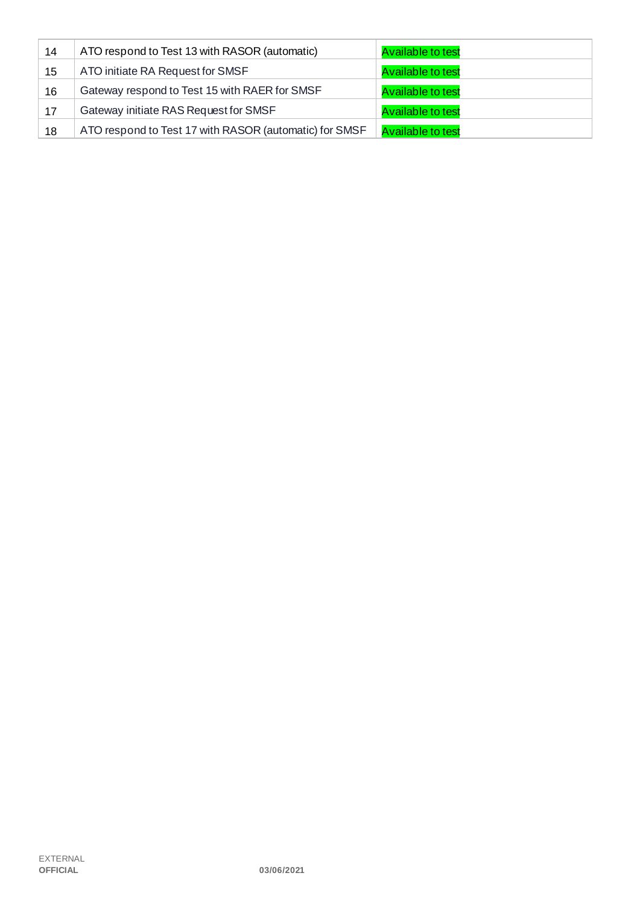| 14 | ATO respond to Test 13 with RASOR (automatic)          | <b>Available to test</b> |
|----|--------------------------------------------------------|--------------------------|
| 15 | ATO initiate RA Request for SMSF                       | <b>Available to test</b> |
| 16 | Gateway respond to Test 15 with RAER for SMSF          | <b>Available to test</b> |
| 17 | Gateway initiate RAS Request for SMSF                  | <b>Available to test</b> |
| 18 | ATO respond to Test 17 with RASOR (automatic) for SMSF | <b>Available to test</b> |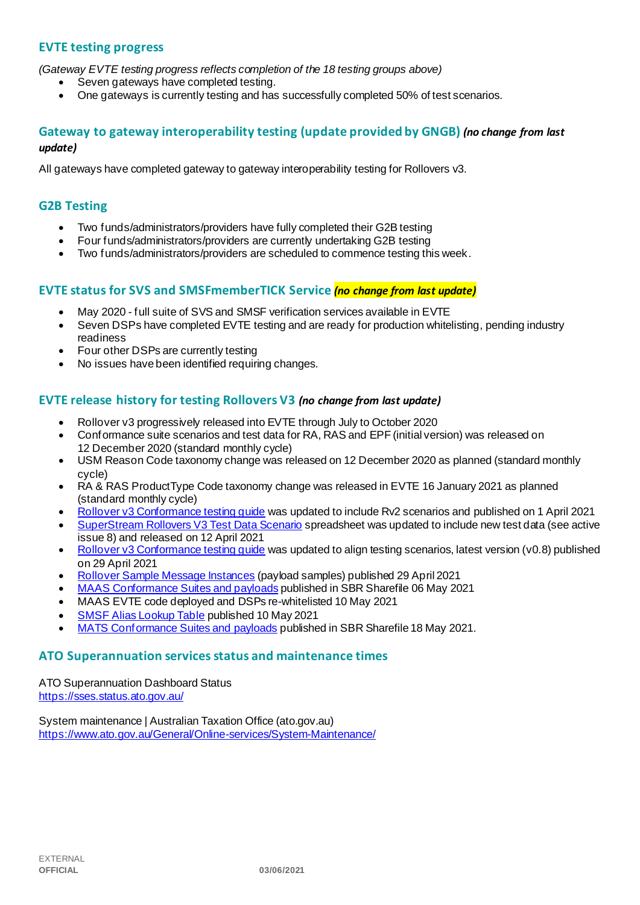#### **EVTE testing progress**

*(Gateway EVTE testing progress reflects completion of the 18 testing groups above)*

- Seven gateways have completed testing.
- One gateways is currently testing and has successfully completed 50% of test scenarios.

#### **Gateway to gateway interoperability testing (update provided by GNGB)** *(no change from last update)*

All gateways have completed gateway to gateway interoperability testing for Rollovers v3.

#### **G2B Testing**

- Two funds/administrators/providers have fully completed their G2B testing
- Four funds/administrators/providers are currently undertaking G2B testing
- Two funds/administrators/providers are scheduled to commence testing this week.

#### **EVTE status for SVS and SMSFmemberTICK Service** *(no change from last update)*

- May 2020 full suite of SVS and SMSF verification services available in EVTE
- Seven DSPs have completed EVTE testing and are ready for production whitelisting, pending industry readiness
- Four other DSPs are currently testing
- No issues have been identified requiring changes.

#### **EVTE release history for testing Rollovers V3** *(no change from last update)*

- Rollover v3 progressively released into EVTE through July to October 2020
- Conformance suite scenarios and test data for RA, RAS and EPF (initial version) was released on 12 December 2020 (standard monthly cycle)
- USM Reason Code taxonomy change was released on 12 December 2020 as planned (standard monthly cycle)
- RA & RAS ProductType Code taxonomy change was released in EVTE 16 January 2021 as planned (standard monthly cycle)
- [Rollover v3 Conformance testing guide](https://softwaredevelopers.ato.gov.au/rolloverV3) was updated to include Rv2 scenarios and published on 1 April 2021
- [SuperStream Rollovers V3 Test Data Scenario](https://softwaredevelopers.ato.gov.au/sites/default/files/2021-04/SuperStream_RolloversV3_Test_Data_Scenario_V1.0.xlsx) spreadsheet was updated to include new test data (see active issue 8) and released on 12 April 2021
- [Rollover v3 Conformance testing guide](https://softwaredevelopers.ato.gov.au/rolloverV3) was updated to align testing scenarios, latest version (v0.8) published on 29 April 2021
- [Rollover Sample Message Instances](https://softwaredevelopers.ato.gov.au/rolloverV3) (payload samples) published 29 April 2021
- [MAAS Conformance Suites and payloads](https://standardbusinessreporting.sharefile.com/home/shared/fod63f12-7bbb-4c61-96e7-33dc9eae4d9a) published in SBR Sharefile 06 May 2021
- MAAS EVTE code deployed and DSPs re-whitelisted 10 May 2021
- [SMSF Alias Lookup Table](https://softwaredevelopers.ato.gov.au/supervalidationservices) published 10 May 2021
- [MATS Conformance Suites and payloads](http://standardbusinessreporting.sharefile.com/) published in SBR Sharefile 18 May 2021.

#### **ATO Superannuation servicesstatus and maintenance times**

[ATO Superannuation Dashboard Status](https://sses.status.ato.gov.au/) <https://sses.status.ato.gov.au/>

[System maintenance | Australian Taxation Office \(ato.gov.au\)](https://www.ato.gov.au/General/Online-services/System-Maintenance/) <https://www.ato.gov.au/General/Online-services/System-Maintenance/>